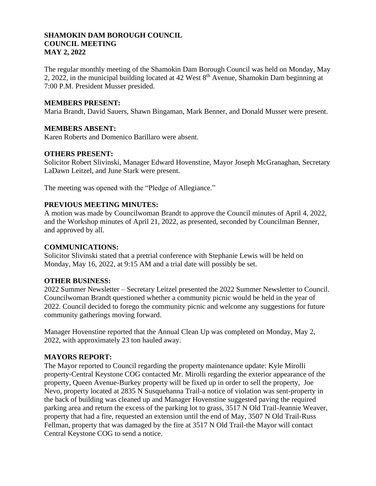### **SHAMOKIN DAM BOROUGH COUNCIL COUNCIL MEETING MAY 2, 2022**

The regular monthly meeting of the Shamokin Dam Borough Council was held on Monday, May 2, 2022, in the municipal building located at 42 West  $8<sup>th</sup>$  Avenue, Shamokin Dam beginning at 7:00 P.M. President Musser presided.

### **MEMBERS PRESENT:**

Maria Brandt, David Sauers, Shawn Bingaman, Mark Benner, and Donald Musser were present.

### **MEMBERS ABSENT:**

Karen Roberts and Domenico Barillaro were absent.

#### **OTHERS PRESENT:**

Solicitor Robert Slivinski, Manager Edward Hovenstine, Mayor Joseph McGranaghan, Secretary LaDawn Leitzel, and June Stark were present.

The meeting was opened with the "Pledge of Allegiance."

### **PREVIOUS MEETING MINUTES:**

A motion was made by Councilwoman Brandt to approve the Council minutes of April 4, 2022, and the Workshop minutes of April 21, 2022, as presented, seconded by Councilman Benner, and approved by all.

#### **COMMUNICATIONS:**

Solicitor Slivinski stated that a pretrial conference with Stephanie Lewis will be held on Monday, May 16, 2022, at 9:15 AM and a trial date will possibly be set.

## **OTHER BUSINESS:**

2022 Summer Newsletter – Secretary Leitzel presented the 2022 Summer Newsletter to Council. Councilwoman Brandt questioned whether a community picnic would be held in the year of 2022. Council decided to forego the community picnic and welcome any suggestions for future community gatherings moving forward.

Manager Hovenstine reported that the Annual Clean Up was completed on Monday, May 2, 2022, with approximately 23 ton hauled away.

## **MAYORS REPORT:**

The Mayor reported to Council regarding the property maintenance update: Kyle Mirolli property-Central Keystone COG contacted Mr. Mirolli regarding the exterior appearance of the property, Queen Avenue-Burkey property will be fixed up in order to sell the property, Joe Nevo, property located at 2835 N Susquehanna Trail-a notice of violation was sent-property in the back of building was cleaned up and Manager Hovenstine suggested paving the required parking area and return the excess of the parking lot to grass, 3517 N Old Trail-Jeannie Weaver, property that had a fire, requested an extension until the end of May, 3507 N Old Trail-Russ Fellman, property that was damaged by the fire at 3517 N Old Trail-the Mayor will contact Central Keystone COG to send a notice.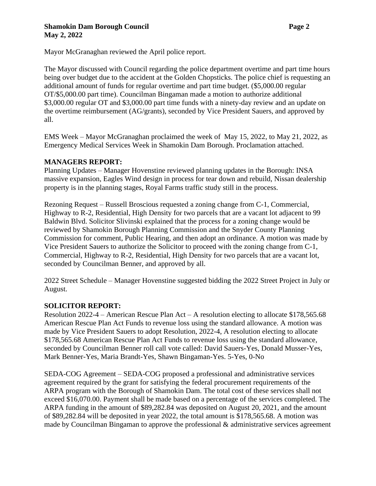#### **Shamokin Dam Borough Council Page 2 May 2, 2022**

Mayor McGranaghan reviewed the April police report.

The Mayor discussed with Council regarding the police department overtime and part time hours being over budget due to the accident at the Golden Chopsticks. The police chief is requesting an additional amount of funds for regular overtime and part time budget. (\$5,000.00 regular OT/\$5,000.00 part time). Councilman Bingaman made a motion to authorize additional \$3,000.00 regular OT and \$3,000.00 part time funds with a ninety-day review and an update on the overtime reimbursement (AG/grants), seconded by Vice President Sauers, and approved by all.

EMS Week – Mayor McGranaghan proclaimed the week of May 15, 2022, to May 21, 2022, as Emergency Medical Services Week in Shamokin Dam Borough. Proclamation attached.

## **MANAGERS REPORT:**

Planning Updates – Manager Hovenstine reviewed planning updates in the Borough: INSA massive expansion, Eagles Wind design in process for tear down and rebuild, Nissan dealership property is in the planning stages, Royal Farms traffic study still in the process.

Rezoning Request – Russell Broscious requested a zoning change from C-1, Commercial, Highway to R-2, Residential, High Density for two parcels that are a vacant lot adjacent to 99 Baldwin Blvd. Solicitor Slivinski explained that the process for a zoning change would be reviewed by Shamokin Borough Planning Commission and the Snyder County Planning Commission for comment, Public Hearing, and then adopt an ordinance. A motion was made by Vice President Sauers to authorize the Solicitor to proceed with the zoning change from C-1, Commercial, Highway to R-2, Residential, High Density for two parcels that are a vacant lot, seconded by Councilman Benner, and approved by all.

2022 Street Schedule – Manager Hovenstine suggested bidding the 2022 Street Project in July or August.

## **SOLICITOR REPORT:**

Resolution 2022-4 – American Rescue Plan Act – A resolution electing to allocate \$178,565.68 American Rescue Plan Act Funds to revenue loss using the standard allowance. A motion was made by Vice President Sauers to adopt Resolution, 2022-4, A resolution electing to allocate \$178,565.68 American Rescue Plan Act Funds to revenue loss using the standard allowance, seconded by Councilman Benner roll call vote called: David Sauers-Yes, Donald Musser-Yes, Mark Benner-Yes, Maria Brandt-Yes, Shawn Bingaman-Yes. 5-Yes, 0-No

SEDA-COG Agreement – SEDA-COG proposed a professional and administrative services agreement required by the grant for satisfying the federal procurement requirements of the ARPA program with the Borough of Shamokin Dam. The total cost of these services shall not exceed \$16,070.00. Payment shall be made based on a percentage of the services completed. The ARPA funding in the amount of \$89,282.84 was deposited on August 20, 2021, and the amount of \$89,282.84 will be deposited in year 2022, the total amount is \$178,565.68. A motion was made by Councilman Bingaman to approve the professional & administrative services agreement